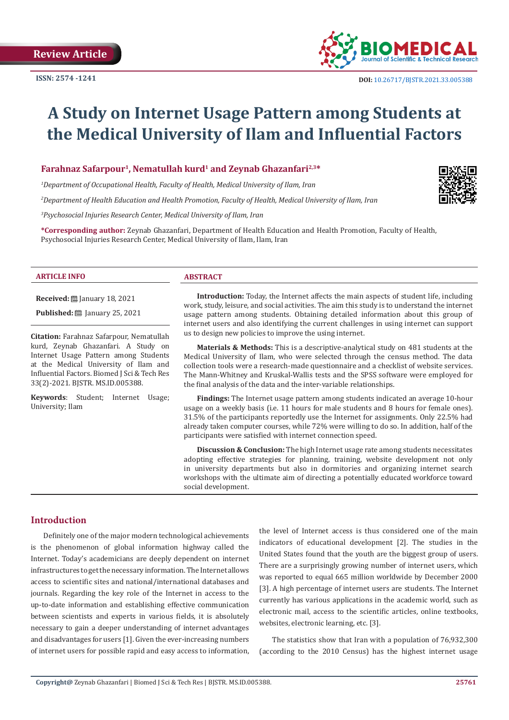

# **A Study on Internet Usage Pattern among Students at the Medical University of Ilam and Influential Factors**

**Farahnaz Safarpour<sup>1</sup>, Nematullah kurd<sup>1</sup> and Zeynab Ghazanfari<sup>2,3\*</sup>** 

*1 Department of Occupational Health, Faculty of Health, Medical University of Ilam, Iran*

*2 Department of Health Education and Health Promotion, Faculty of Health, Medical University of Ilam, Iran*

*3 Psychosocial Injuries Research Center, Medical University of Ilam, Iran*

**\*Corresponding author:** Zeynab Ghazanfari, Department of Health Education and Health Promotion, Faculty of Health, Psychosocial Injuries Research Center, Medical University of Ilam, Ilam, Iran

#### **ARTICLE INFO ABSTRACT**

**Received:** January 18, 2021

**Published:** ■ January 25, 2021

**Citation:** Farahnaz Safarpour, Nematullah kurd, Zeynab Ghazanfari. A Study on Internet Usage Pattern among Students at the Medical University of Ilam and Influential Factors. Biomed J Sci & Tech Res 33(2)-2021. BJSTR. MS.ID.005388.

**Keywords**: Student; Internet Usage; University; Ilam

**Introduction:** Today, the Internet affects the main aspects of student life, including work, study, leisure, and social activities. The aim this study is to understand the internet usage pattern among students. Obtaining detailed information about this group of internet users and also identifying the current challenges in using internet can support us to design new policies to improve the using internet.

**Materials & Methods:** This is a descriptive-analytical study on 481 students at the Medical University of Ilam, who were selected through the census method. The data collection tools were a research-made questionnaire and a checklist of website services. The Mann-Whitney and Kruskal-Wallis tests and the SPSS software were employed for the final analysis of the data and the inter-variable relationships.

**Findings:** The Internet usage pattern among students indicated an average 10-hour usage on a weekly basis (i.e. 11 hours for male students and 8 hours for female ones). 31.5% of the participants reportedly use the Internet for assignments. Only 22.5% had already taken computer courses, while 72% were willing to do so. In addition, half of the participants were satisfied with internet connection speed.

**Discussion & Conclusion:** The high Internet usage rate among students necessitates adopting effective strategies for planning, training, website development not only in university departments but also in dormitories and organizing internet search workshops with the ultimate aim of directing a potentially educated workforce toward social development.

## **Introduction**

Definitely one of the major modern technological achievements is the phenomenon of global information highway called the Internet. Today's academicians are deeply dependent on internet infrastructures to get the necessary information. The Internet allows access to scientific sites and national/international databases and journals. Regarding the key role of the Internet in access to the up-to-date information and establishing effective communication between scientists and experts in various fields, it is absolutely necessary to gain a deeper understanding of internet advantages and disadvantages for users [1]. Given the ever-increasing numbers of internet users for possible rapid and easy access to information, the level of Internet access is thus considered one of the main indicators of educational development [2]. The studies in the United States found that the youth are the biggest group of users. There are a surprisingly growing number of internet users, which was reported to equal 665 million worldwide by December 2000 [3]. A high percentage of internet users are students. The Internet currently has various applications in the academic world, such as electronic mail, access to the scientific articles, online textbooks, websites, electronic learning, etc. [3].

The statistics show that Iran with a population of 76,932,300 (according to the 2010 Census) has the highest internet usage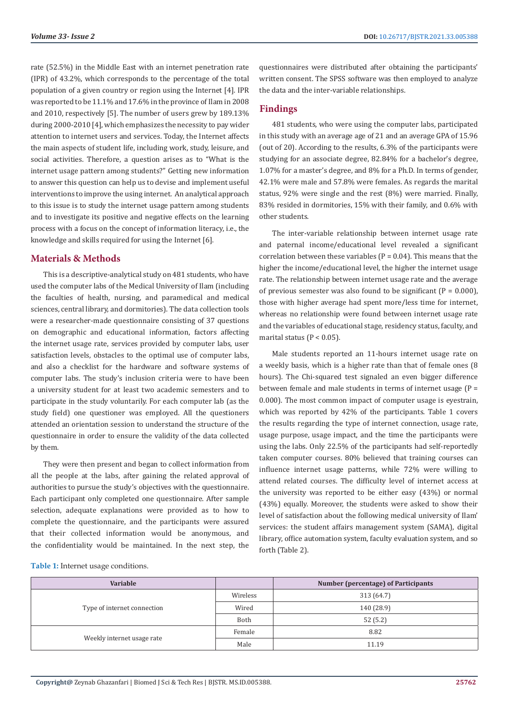rate (52.5%) in the Middle East with an internet penetration rate (IPR) of 43.2%, which corresponds to the percentage of the total population of a given country or region using the Internet [4]. IPR was reported to be 11.1% and 17.6% in the province of Ilam in 2008 and 2010, respectively [5]. The number of users grew by 189.13% during 2000-2010 [4], which emphasizes the necessity to pay wider attention to internet users and services. Today, the Internet affects the main aspects of student life, including work, study, leisure, and social activities. Therefore, a question arises as to "What is the internet usage pattern among students?" Getting new information to answer this question can help us to devise and implement useful interventions to improve the using internet. An analytical approach to this issue is to study the internet usage pattern among students and to investigate its positive and negative effects on the learning process with a focus on the concept of information literacy, i.e., the knowledge and skills required for using the Internet [6].

# **Materials & Methods**

This is a descriptive-analytical study on 481 students, who have used the computer labs of the Medical University of Ilam (including the faculties of health, nursing, and paramedical and medical sciences, central library, and dormitories). The data collection tools were a researcher-made questionnaire consisting of 37 questions on demographic and educational information, factors affecting the internet usage rate, services provided by computer labs, user satisfaction levels, obstacles to the optimal use of computer labs, and also a checklist for the hardware and software systems of computer labs. The study's inclusion criteria were to have been a university student for at least two academic semesters and to participate in the study voluntarily. For each computer lab (as the study field) one questioner was employed. All the questioners attended an orientation session to understand the structure of the questionnaire in order to ensure the validity of the data collected by them.

They were then present and began to collect information from all the people at the labs, after gaining the related approval of authorities to pursue the study's objectives with the questionnaire. Each participant only completed one questionnaire. After sample selection, adequate explanations were provided as to how to complete the questionnaire, and the participants were assured that their collected information would be anonymous, and the confidentiality would be maintained. In the next step, the

questionnaires were distributed after obtaining the participants' written consent. The SPSS software was then employed to analyze the data and the inter-variable relationships.

# **Findings**

481 students, who were using the computer labs, participated in this study with an average age of 21 and an average GPA of 15.96 (out of 20). According to the results, 6.3% of the participants were studying for an associate degree, 82.84% for a bachelor's degree, 1.07% for a master's degree, and 8% for a Ph.D. In terms of gender, 42.1% were male and 57.8% were females. As regards the marital status, 92% were single and the rest (8%) were married. Finally, 83% resided in dormitories, 15% with their family, and 0.6% with other students.

The inter-variable relationship between internet usage rate and paternal income/educational level revealed a significant correlation between these variables ( $P = 0.04$ ). This means that the higher the income/educational level, the higher the internet usage rate. The relationship between internet usage rate and the average of previous semester was also found to be significant  $(P = 0.000)$ . those with higher average had spent more/less time for internet, whereas no relationship were found between internet usage rate and the variables of educational stage, residency status, faculty, and marital status ( $P < 0.05$ ).

Male students reported an 11-hours internet usage rate on a weekly basis, which is a higher rate than that of female ones (8 hours). The Chi-squared test signaled an even bigger difference between female and male students in terms of internet usage (P = 0.000). The most common impact of computer usage is eyestrain, which was reported by 42% of the participants. Table 1 covers the results regarding the type of internet connection, usage rate, usage purpose, usage impact, and the time the participants were using the labs. Only 22.5% of the participants had self-reportedly taken computer courses. 80% believed that training courses can influence internet usage patterns, while 72% were willing to attend related courses. The difficulty level of internet access at the university was reported to be either easy (43%) or normal (43%) equally. Moreover, the students were asked to show their level of satisfaction about the following medical university of Ilam' services: the student affairs management system (SAMA), digital library, office automation system, faculty evaluation system, and so forth (Table 2).

| Table 1: Internet usage conditions. |  |
|-------------------------------------|--|
|-------------------------------------|--|

| Variable                    |          | Number (percentage) of Participants |  |  |
|-----------------------------|----------|-------------------------------------|--|--|
| Type of internet connection | Wireless | 313 (64.7)                          |  |  |
|                             | Wired    | 140 (28.9)                          |  |  |
|                             | Both     | 52(5.2)                             |  |  |
| Weekly internet usage rate  | Female   | 8.82                                |  |  |
|                             | Male     | 11.19                               |  |  |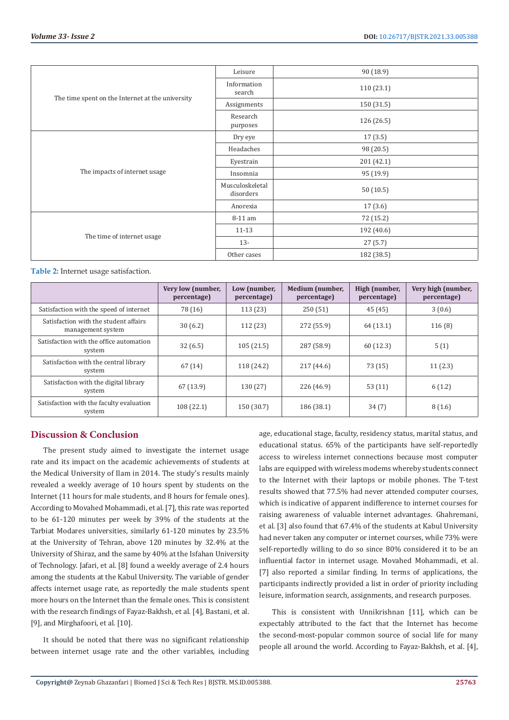| The time spent on the Internet at the university | Leisure                      | 90 (18.9)  |
|--------------------------------------------------|------------------------------|------------|
|                                                  | Information<br>search        | 110 (23.1) |
|                                                  | Assignments                  | 150 (31.5) |
|                                                  | Research<br>purposes         | 126 (26.5) |
| The impacts of internet usage                    | Dry eye                      | 17(3.5)    |
|                                                  | Headaches                    | 98 (20.5)  |
|                                                  | Eyestrain                    | 201 (42.1) |
|                                                  | Insomnia                     | 95 (19.9)  |
|                                                  | Musculoskeletal<br>disorders | 50(10.5)   |
|                                                  | Anorexia                     | 17(3.6)    |
| The time of internet usage                       | 8-11 am                      | 72 (15.2)  |
|                                                  | $11 - 13$                    | 192 (40.6) |
|                                                  | $13 -$                       | 27(5.7)    |
|                                                  | Other cases                  | 182 (38.5) |

**Table 2:** Internet usage satisfaction.

|                                                            | Very low (number,<br>percentage) | Low (number,<br>percentage) | Medium (number,<br>percentage) | High (number,<br>percentage) | Very high (number,<br>percentage) |
|------------------------------------------------------------|----------------------------------|-----------------------------|--------------------------------|------------------------------|-----------------------------------|
| Satisfaction with the speed of internet                    | 78 (16)                          | 113 (23)                    | 250(51)                        | 45(45)                       | 3(0.6)                            |
| Satisfaction with the student affairs<br>management system | 30(6.2)                          | 112 (23)                    | 272 (55.9)                     | 64 (13.1)                    | 116(8)                            |
| Satisfaction with the office automation<br>system          | 32(6.5)                          | 105(21.5)                   | 287 (58.9)                     | 60(12.3)                     | 5(1)                              |
| Satisfaction with the central library<br>system            | 67(14)                           | 118 (24.2)                  | 217(44.6)                      | 73(15)                       | 11(2.3)                           |
| Satisfaction with the digital library<br>system            | 67 (13.9)                        | 130 (27)                    | 226 (46.9)                     | 53(11)                       | 6(1.2)                            |
| Satisfaction with the faculty evaluation<br>system         | 108(22.1)                        | 150 (30.7)                  | 186 (38.1)                     | 34(7)                        | 8(1.6)                            |

# **Discussion & Conclusion**

The present study aimed to investigate the internet usage rate and its impact on the academic achievements of students at the Medical University of Ilam in 2014. The study's results mainly revealed a weekly average of 10 hours spent by students on the Internet (11 hours for male students, and 8 hours for female ones). According to Movahed Mohammadi, et al. [7], this rate was reported to be 61-120 minutes per week by 39% of the students at the Tarbiat Modares universities, similarly 61-120 minutes by 23.5% at the University of Tehran, above 120 minutes by 32.4% at the University of Shiraz, and the same by 40% at the Isfahan University of Technology. Jafari, et al. [8] found a weekly average of 2.4 hours among the students at the Kabul University. The variable of gender affects internet usage rate, as reportedly the male students spent more hours on the Internet than the female ones. This is consistent with the research findings of Fayaz-Bakhsh, et al. [4], Bastani, et al. [9], and Mirghafoori, et al. [10].

It should be noted that there was no significant relationship between internet usage rate and the other variables, including age, educational stage, faculty, residency status, marital status, and educational status. 65% of the participants have self-reportedly access to wireless internet connections because most computer labs are equipped with wireless modems whereby students connect to the Internet with their laptops or mobile phones. The T-test results showed that 77.5% had never attended computer courses, which is indicative of apparent indifference to internet courses for raising awareness of valuable internet advantages. Ghahremani, et al. [3] also found that 67.4% of the students at Kabul University had never taken any computer or internet courses, while 73% were self-reportedly willing to do so since 80% considered it to be an influential factor in internet usage. Movahed Mohammadi, et al. [7] also reported a similar finding. In terms of applications, the participants indirectly provided a list in order of priority including leisure, information search, assignments, and research purposes.

This is consistent with Unnikrishnan [11], which can be expectably attributed to the fact that the Internet has become the second-most-popular common source of social life for many people all around the world. According to Fayaz-Bakhsh, et al. [4],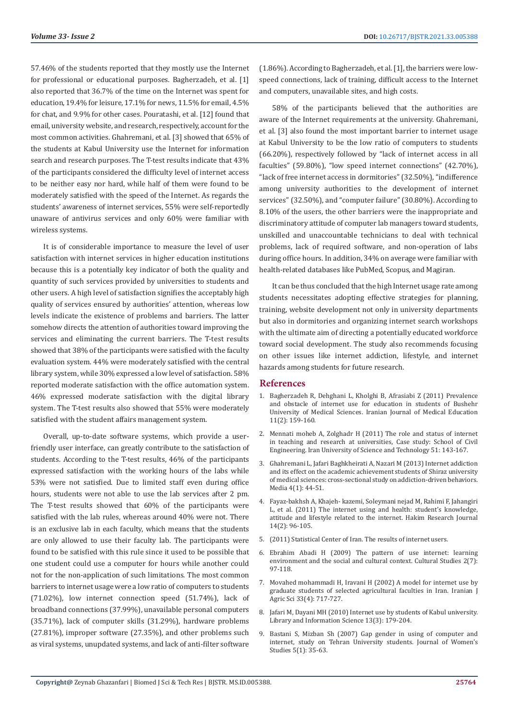57.46% of the students reported that they mostly use the Internet for professional or educational purposes. Bagherzadeh, et al. [1] also reported that 36.7% of the time on the Internet was spent for education, 19.4% for leisure, 17.1% for news, 11.5% for email, 4.5% for chat, and 9.9% for other cases. Pouratashi, et al. [12] found that email, university website, and research, respectively, account for the most common activities. Ghahremani, et al. [3] showed that 65% of the students at Kabul University use the Internet for information search and research purposes. The T-test results indicate that 43% of the participants considered the difficulty level of internet access to be neither easy nor hard, while half of them were found to be moderately satisfied with the speed of the Internet. As regards the students' awareness of internet services, 55% were self-reportedly unaware of antivirus services and only 60% were familiar with wireless systems.

It is of considerable importance to measure the level of user satisfaction with internet services in higher education institutions because this is a potentially key indicator of both the quality and quantity of such services provided by universities to students and other users. A high level of satisfaction signifies the acceptably high quality of services ensured by authorities' attention, whereas low levels indicate the existence of problems and barriers. The latter somehow directs the attention of authorities toward improving the services and eliminating the current barriers. The T-test results showed that 38% of the participants were satisfied with the faculty evaluation system. 44% were moderately satisfied with the central library system, while 30% expressed a low level of satisfaction. 58% reported moderate satisfaction with the office automation system. 46% expressed moderate satisfaction with the digital library system. The T-test results also showed that 55% were moderately satisfied with the student affairs management system.

Overall, up-to-date software systems, which provide a userfriendly user interface, can greatly contribute to the satisfaction of students. According to the T-test results, 46% of the participants expressed satisfaction with the working hours of the labs while 53% were not satisfied. Due to limited staff even during office hours, students were not able to use the lab services after 2 pm. The T-test results showed that 60% of the participants were satisfied with the lab rules, whereas around 40% were not. There is an exclusive lab in each faculty, which means that the students are only allowed to use their faculty lab. The participants were found to be satisfied with this rule since it used to be possible that one student could use a computer for hours while another could not for the non-application of such limitations. The most common barriers to internet usage were a low ratio of computers to students (71.02%), low internet connection speed (51.74%), lack of broadband connections (37.99%), unavailable personal computers (35.71%), lack of computer skills (31.29%), hardware problems (27.81%), improper software (27.35%), and other problems such as viral systems, unupdated systems, and lack of anti-filter software

(1.86%). According to Bagherzadeh, et al. [1], the barriers were lowspeed connections, lack of training, difficult access to the Internet and computers, unavailable sites, and high costs.

58% of the participants believed that the authorities are aware of the Internet requirements at the university. Ghahremani, et al. [3] also found the most important barrier to internet usage at Kabul University to be the low ratio of computers to students (66.20%), respectively followed by "lack of internet access in all faculties" (59.80%), "low speed internet connections" (42.70%), "lack of free internet access in dormitories" (32.50%), "indifference among university authorities to the development of internet services" (32.50%), and "computer failure" (30.80%). According to 8.10% of the users, the other barriers were the inappropriate and discriminatory attitude of computer lab managers toward students, unskilled and unaccountable technicians to deal with technical problems, lack of required software, and non-operation of labs during office hours. In addition, 34% on average were familiar with health-related databases like PubMed, Scopus, and Magiran.

It can be thus concluded that the high Internet usage rate among students necessitates adopting effective strategies for planning, training, website development not only in university departments but also in dormitories and organizing internet search workshops with the ultimate aim of directing a potentially educated workforce toward social development. The study also recommends focusing on other issues like internet addiction, lifestyle, and internet hazards among students for future research.

#### **References**

- 1. [Bagherzadeh R, Dehghani L, Kholghi B, Afrasiabi Z \(2011\) Prevalence](http://ijme.mui.ac.ir/article-1-988-en.html) [and obstacle of internet use for education in students of Bushehr](http://ijme.mui.ac.ir/article-1-988-en.html) [University of Medical Sciences. Iranian Journal of Medical Education](http://ijme.mui.ac.ir/article-1-988-en.html) [11\(2\): 159-160.](http://ijme.mui.ac.ir/article-1-988-en.html)
- 2. [Mennati moheb A, Zolghadr H \(2011\) The role and status of internet](http://ijee.ias.ac.ir/m/article_1112.html?lang=en) [in teaching and research at universities, Case study: School of Civil](http://ijee.ias.ac.ir/m/article_1112.html?lang=en) [Engineering. Iran University of Science and Technology 51: 143-167.](http://ijee.ias.ac.ir/m/article_1112.html?lang=en)
- 3. [Ghahremani L, Jafari Baghkheirati A, Nazari M \(2013\) Internet addiction](https://ijvlms.sums.ac.ir/article_46067.html) [and its effect on the academic achievement students of Shiraz university](https://ijvlms.sums.ac.ir/article_46067.html) [of medical sciences: cross-sectional study on addiction-driven behaviors.](https://ijvlms.sums.ac.ir/article_46067.html) [Media 4\(1\): 44-51.](https://ijvlms.sums.ac.ir/article_46067.html)
- 4. [Fayaz-bakhsh A, Khajeh- kazemi, Soleymani nejad M, Rahimi F, Jahangiri](https://www.sid.ir/en/journal/ViewPaper.aspx?id=245633) [L, et al. \(2011\) The internet using and health: student's knowledge,](https://www.sid.ir/en/journal/ViewPaper.aspx?id=245633) [attitude and lifestyle related to the internet. Hakim Research Journal](https://www.sid.ir/en/journal/ViewPaper.aspx?id=245633) [14\(2\): 96-105.](https://www.sid.ir/en/journal/ViewPaper.aspx?id=245633)
- 5. (2011) Statistical Center of Iran. The results of internet users.
- 6. [Ebrahim Abadi H \(2009\) The pattern of use internet: learning](https://www.sid.ir/en/journal/ViewPaper.aspx?ID=164592) [environment and the social and cultural context. Cultural Studies 2\(7\):](https://www.sid.ir/en/journal/ViewPaper.aspx?ID=164592) [97-118.](https://www.sid.ir/en/journal/ViewPaper.aspx?ID=164592)
- 7. [Movahed mohammadi H, Iravani H \(2002\) A model for internet use by](https://www.researchgate.net/publication/285736493_A_model_for_using_internet_by_students_of_Iran_agriculture_university) [graduate students of selected agricultural faculties in Iran. Iranian J](https://www.researchgate.net/publication/285736493_A_model_for_using_internet_by_students_of_Iran_agriculture_university) [Agric Sci 33\(4\): 717-727.](https://www.researchgate.net/publication/285736493_A_model_for_using_internet_by_students_of_Iran_agriculture_university)
- 8. Jafari M, Dayani MH (2010) Internet use by students of Kabul university. Library and Information Science 13(3): 179-204.
- 9. [Bastani S, Mizban Sh \(2007\) Gap gender in using of computer and](https://jwsps.alzahra.ac.ir/article_1282.html?lang=en) [internet, study on Tehran University students. Journal of Women's](https://jwsps.alzahra.ac.ir/article_1282.html?lang=en) [Studies 5\(1\): 35-63.](https://jwsps.alzahra.ac.ir/article_1282.html?lang=en)